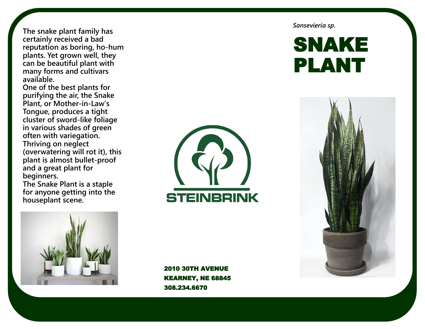**The snake plant family has certainly received a bad reputation as boring, ho-hum plants. Yet grown well, they can be beautiful plant with many forms and cultivars available.** 

**One of the best plants for purifying the air, the Snake Plant, or Mother-in-Law's Tongue, produces a tight cluster of sword-like foliage in various shades of green often with variegation. Thriving on neglect (overwatering will rot it), this plant is almost bullet-proof and a great plant for beginners. The Snake Plant is a staple for anyone getting into the houseplant scene.**



2010 30TH AVENUE KEARNEY, NE 68845 308.234.6670

*Sansevieria sp.*